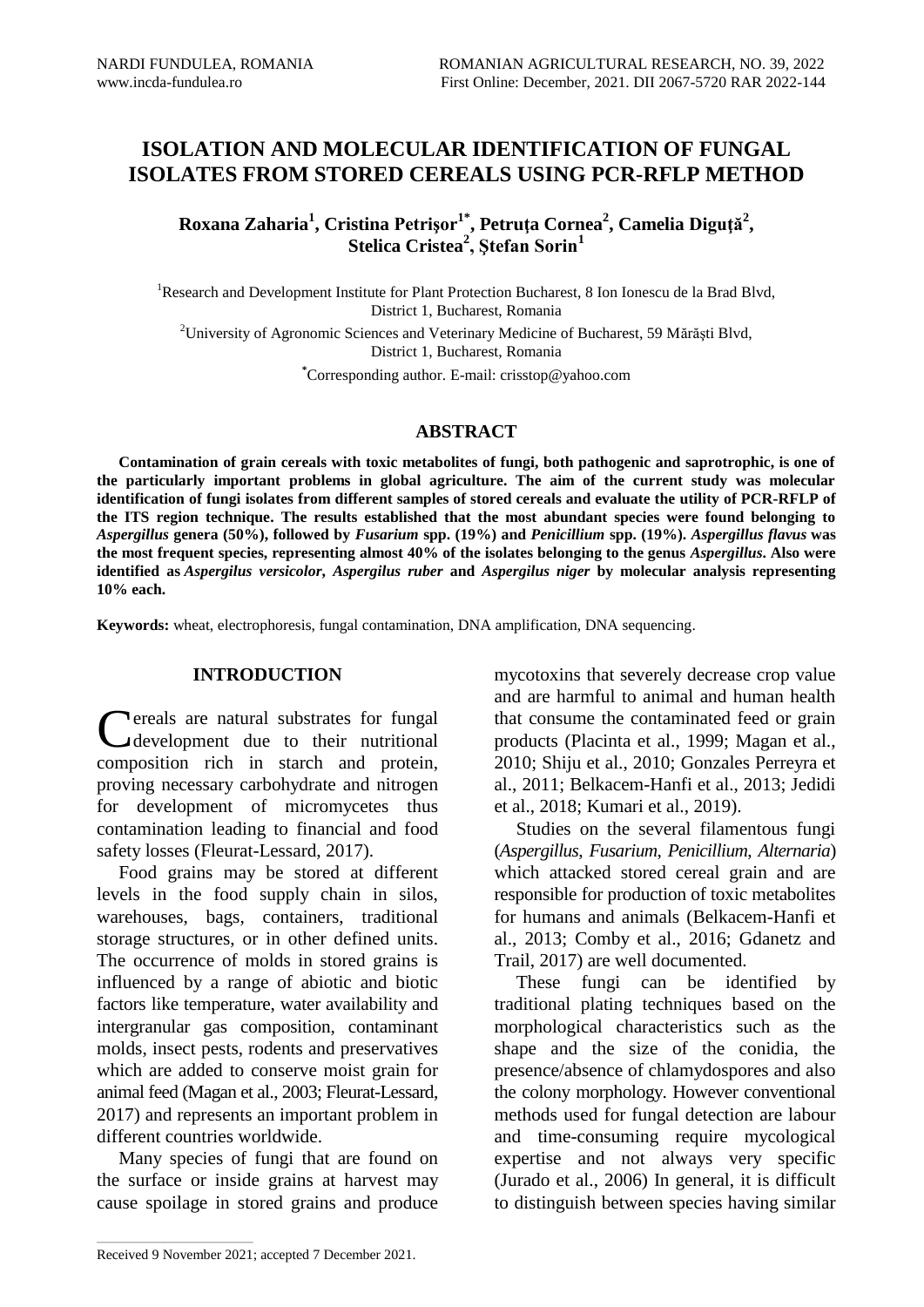# **ISOLATION AND MOLECULAR IDENTIFICATION OF FUNGAL ISOLATES FROM STORED CEREALS USING PCR-RFLP METHOD**

**Roxana Zaharia<sup>1</sup> , Cristina Petrişor1\* , Petruţa Cornea<sup>2</sup> , Camelia Diguţă<sup>2</sup> , Stelica Cristea<sup>2</sup> , Ştefan Sorin<sup>1</sup>**

<sup>1</sup>Research and Development Institute for Plant Protection Bucharest, 8 Ion Ionescu de la Brad Blvd, District 1, Bucharest, Romania

<sup>2</sup>University of Agronomic Sciences and Veterinary Medicine of Bucharest, 59 Mărăşti Blvd, District 1, Bucharest, Romania

**\***Corresponding author. E-mail: crisstop@yahoo.com

#### **ABSTRACT**

**Contamination of grain cereals with toxic metabolites of fungi, both pathogenic and saprotrophic, is one of the particularly important problems in global agriculture. The aim of the current study was molecular identification of fungi isolates from different samples of stored cereals and evaluate the utility of PCR-RFLP of the ITS region technique. The results established that the most abundant species were found belonging to**  *Aspergillus* **genera (50%), followed by** *Fusarium* **spp. (19%) and** *Penicillium* **spp. (19%).** *Aspergillus flavus* **was the most frequent species, representing almost 40% of the isolates belonging to the genus** *Aspergillus***. Also were identified as** *Aspergilus versicolor***,** *Aspergilus ruber* **and** *Aspergilus niger* **by molecular analysis representing 10% each.**

**Keywords:** wheat, electrophoresis, fungal contamination, DNA amplification, DNA sequencing.

### **INTRODUCTION**

**Pereals are natural substrates for fungal** Cereals are natural substrates for fungal<br>
development due to their nutritional composition rich in starch and protein, proving necessary carbohydrate and nitrogen for development of micromycetes thus contamination leading to financial and food safety losses (Fleurat-Lessard, 2017).

Food grains may be stored at different levels in the food supply chain in silos, warehouses, bags, containers, traditional storage structures, or in other defined units. The occurrence of molds in stored grains is influenced by a range of abiotic and biotic factors like temperature, water availability and intergranular gas composition, contaminant molds, insect pests, rodents and preservatives which are added to conserve moist grain for animal feed (Magan et al., 2003; Fleurat-Lessard, 2017) and represents an important problem in different countries worldwide.

Many species of fungi that are found on the surface or inside grains at harvest may cause spoilage in stored grains and produce mycotoxins that severely decrease crop value and are harmful to animal and human health that consume the contaminated feed or grain products [\(Placinta](https://europepmc.org/article/PMC/6533538#B50) et al., 1999; [Magan](https://europepmc.org/article/PMC/6533538#B36) et al., [2010;](https://europepmc.org/article/PMC/6533538#B36) Shiju et al., 2010; Gonzales Perreyra et al., 2011; Belkacem-Hanfi et al., 2013; Jedidi et al., 2018; Kumari et al., 2019).

Studies on the several filamentous fungi (*Aspergillus*, *Fusarium*, *Penicillium*, *Alternaria*) which attacked stored cereal grain and are responsible for production of toxic metabolites for humans and animals (Belkacem-Hanfi et al., 2013; Comby et al., 2016; Gdanetz and Trail, 2017) are well documented.

These fungi can be identified by traditional plating techniques based on the morphological characteristics such as the shape and the size of the conidia, the presence/absence of chlamydospores and also the colony morphology. However conventional methods used for fungal detection are labour and time-consuming require mycological expertise and not always very specific (Jurado et al., 2006) In general, it is difficult to distinguish between species having similar

 $\mathcal{L}_\text{max}$  and  $\mathcal{L}_\text{max}$  and  $\mathcal{L}_\text{max}$  and  $\mathcal{L}_\text{max}$ 

Received 9 November 2021; accepted 7 December 2021.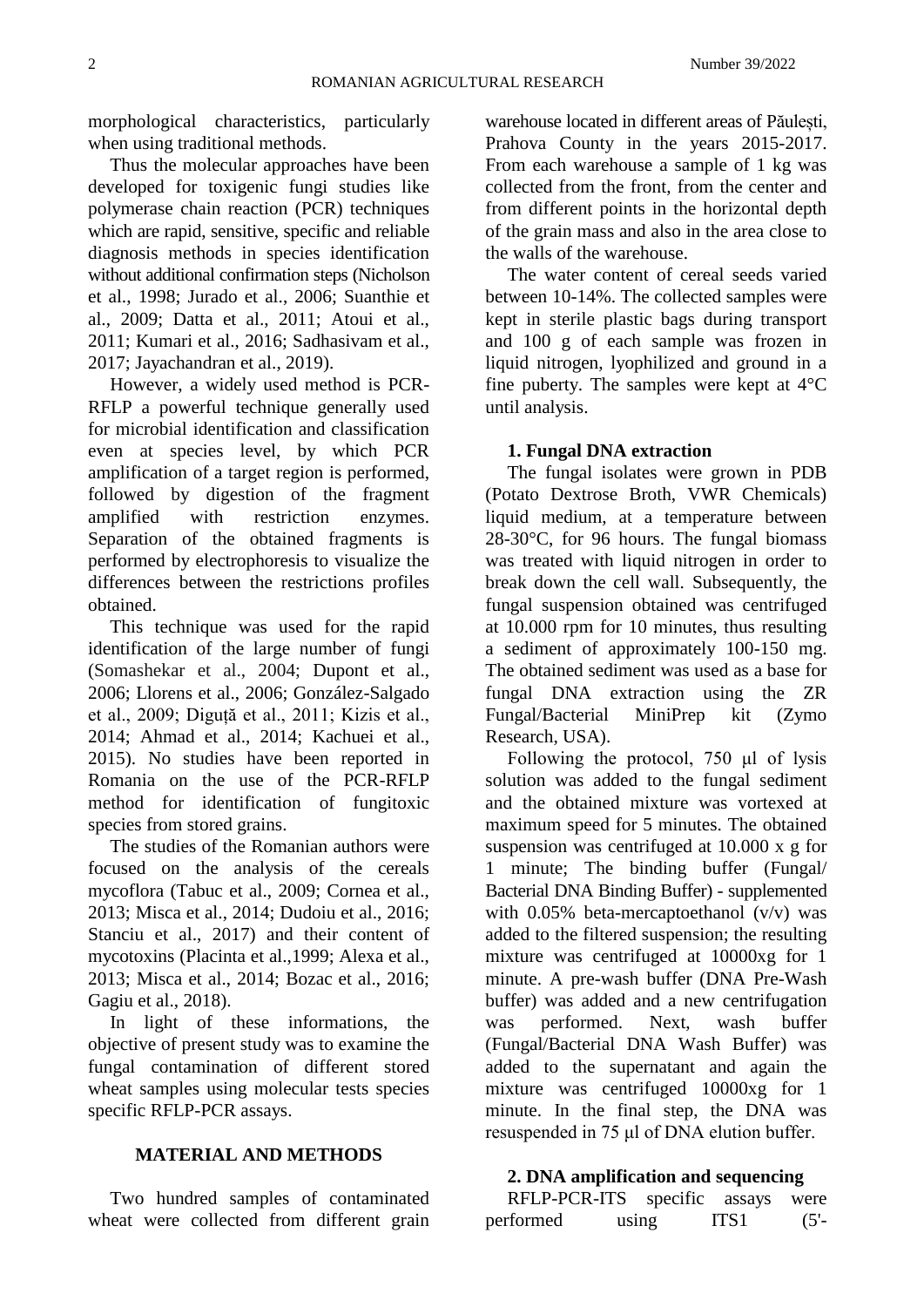morphological characteristics, particularly when using traditional methods.

Thus the molecular approaches have been developed for toxigenic fungi studies like polymerase chain reaction (PCR) techniques which are rapid, sensitive, specific and reliable diagnosis methods in species identification without additional confirmation steps (Nicholson et al., 1998; Jurado et al., 2006; Suanthie et al., 2009; Datta et al., 2011; Atoui et al., 2011; Kumari et al., 2016; Sadhasivam et al., 2017; Jayachandran et al., 2019).

However, a widely used method is PCR-RFLP a powerful technique generally used for microbial identification and classification even at species level, by which PCR amplification of a target region is performed, followed by digestion of the fragment amplified with restriction enzymes. Separation of the obtained fragments is performed by electrophoresis to visualize the differences between the restrictions profiles obtained.

This technique was used for the rapid identification of the large number of fungi (Somashekar et al., 2004; Dupont et al., 2006; Llorens et al., 2006; González-Salgado et al., 2009; Diguță et al., 2011; Kizis et al., 2014; Ahmad et al., 2014; Kachuei et al., 2015). No studies have been reported in Romania on the use of the PCR-RFLP method for identification of fungitoxic species from stored grains.

The studies of the Romanian authors were focused on the analysis of the cereals mycoflora (Tabuc et al., 2009; Cornea et al., 2013; Misca et al., 2014; Dudoiu et al., 2016; Stanciu et al., 2017) and their content of mycotoxins (Placinta et al.,1999; Alexa et al., 2013; Misca et al., 2014; Bozac et al., 2016; Gagiu et al., 2018).

In light of these informations, the objective of present study was to examine the fungal contamination of different stored wheat samples using molecular tests species specific RFLP-PCR assays.

### **MATERIAL AND METHODS**

Two hundred samples of contaminated wheat were collected from different grain

warehouse located in different areas of Păulești, Prahova County in the years 2015-2017. From each warehouse a sample of 1 kg was collected from the front, from the center and from different points in the horizontal depth of the grain mass and also in the area close to the walls of the warehouse.

The water content of cereal seeds varied between 10-14%. The collected samples were kept in sterile plastic bags during transport and 100 g of each sample was frozen in liquid nitrogen, lyophilized and ground in a fine puberty. The samples were kept at 4°C until analysis.

### **1. Fungal DNA extraction**

The fungal isolates were grown in PDB (Potato Dextrose Broth, VWR Chemicals) liquid medium, at a temperature between 28-30°C, for 96 hours. The fungal biomass was treated with liquid nitrogen in order to break down the cell wall. Subsequently, the fungal suspension obtained was centrifuged at 10.000 rpm for 10 minutes, thus resulting a sediment of approximately 100-150 mg. The obtained sediment was used as a base for fungal DNA extraction using the ZR Fungal/Bacterial MiniPrep kit (Zymo Research, USA).

Following the protocol, 750 μl of lysis solution was added to the fungal sediment and the obtained mixture was vortexed at maximum speed for 5 minutes. The obtained suspension was centrifuged at 10.000 x g for 1 minute; The binding buffer (Fungal/ Bacterial DNA Binding Buffer) - supplemented with  $0.05\%$  beta-mercaptoethanol  $(v/v)$  was added to the filtered suspension; the resulting mixture was centrifuged at 10000xg for 1 minute. A pre-wash buffer (DNA Pre-Wash buffer) was added and a new centrifugation was performed. Next, wash buffer (Fungal/Bacterial DNA Wash Buffer) was added to the supernatant and again the mixture was centrifuged 10000xg for 1 minute. In the final step, the DNA was resuspended in 75 μl of DNA elution buffer.

### **2. DNA amplification and sequencing**

| RFLP-PCR-ITS specific assays were |       |                  |        |
|-----------------------------------|-------|------------------|--------|
| performed                         | using | ITS <sub>1</sub> | $(5'-$ |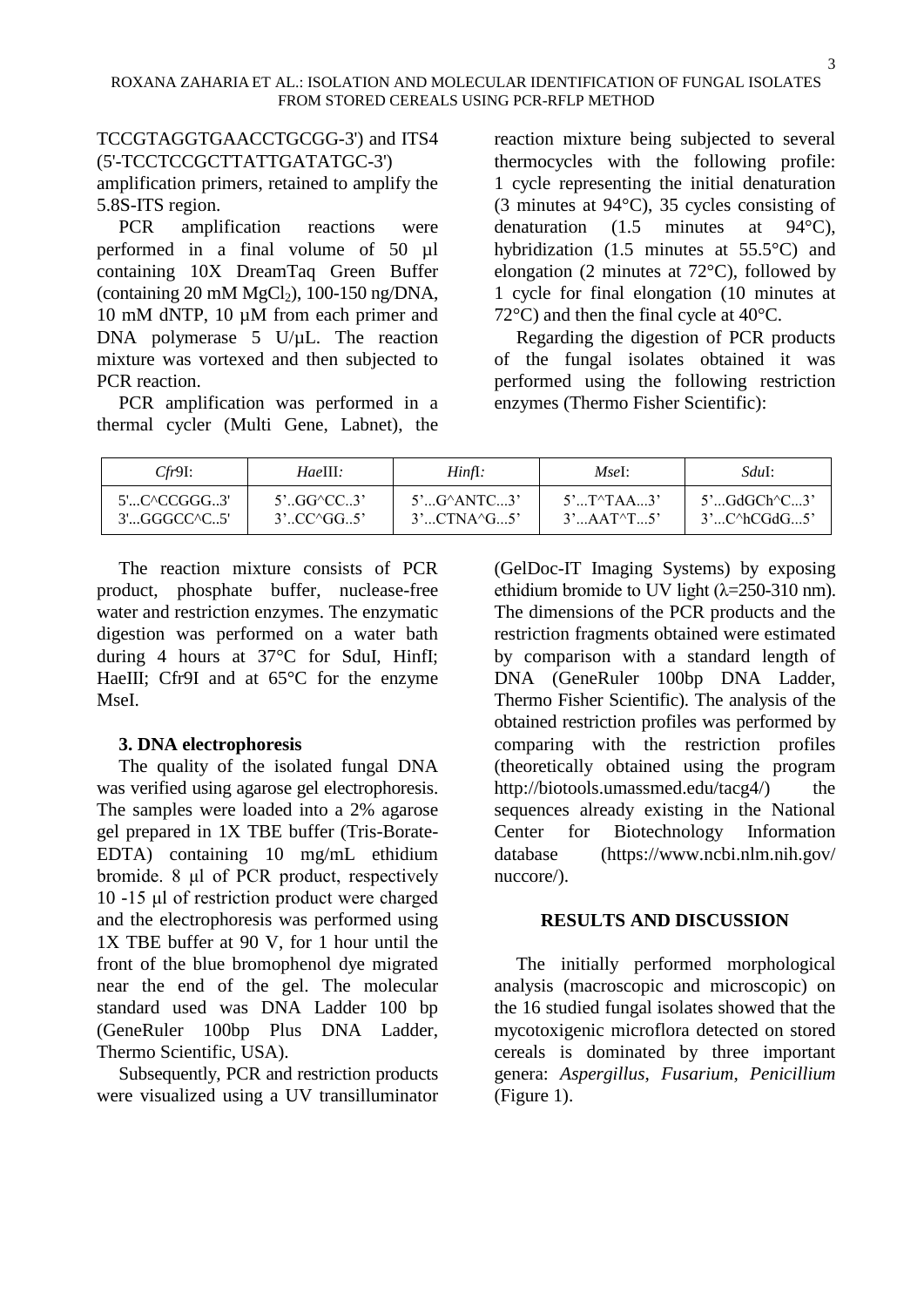# TCCGTAGGTGAACCTGCGG-3') and ITS4 (5'-TCCTCCGCTTATTGATATGC-3')

amplification primers, retained to amplify the 5.8S-ITS region.

PCR amplification reactions were performed in a final volume of 50 µl containing 10X DreamTaq Green Buffer (containing 20 mM  $MgCl<sub>2</sub>$ ), 100-150 ng/DNA, 10 mM dNTP, 10 µM from each primer and DNA polymerase 5 U/µL. The reaction mixture was vortexed and then subjected to PCR reaction.

PCR amplification was performed in a thermal cycler (Multi Gene, Labnet), the reaction mixture being subjected to several thermocycles with the following profile: 1 cycle representing the initial denaturation (3 minutes at 94°C), 35 cycles consisting of denaturation (1.5 minutes at 94°C), hybridization (1.5 minutes at 55.5°C) and elongation (2 minutes at 72°C), followed by 1 cycle for final elongation (10 minutes at 72 $\degree$ C) and then the final cycle at 40 $\degree$ C.

Regarding the digestion of PCR products of the fungal isolates obtained it was performed using the following restriction enzymes (Thermo Fisher Scientific):

| Cfr9I:         | HaeIII:                              | Hint1:                          | MseI:               | SduI:                                      |
|----------------|--------------------------------------|---------------------------------|---------------------|--------------------------------------------|
| 5'C^CCGGG3'    | $5^{\circ}$ GG $\circ$ CC3           | $5^{\circ}$ $G^{\wedge}$ ANTC3' | $5'T^{\wedge}TAA3'$ | $5^{\circ}$ GdGCh $^{\circ}$ C3 $^{\circ}$ |
| $3'$ GGGCC^C5' | $3^{\circ}$ $CC^{\circ}GG.5^{\circ}$ | 3'CTNA'G5'                      | $3'AAT^{\wedge}T5'$ | $3'C^{\wedge}hCGdG5'$                      |

The reaction mixture consists of PCR product, phosphate buffer, nuclease-free water and restriction enzymes. The enzymatic digestion was performed on a water bath during 4 hours at 37°C for SduI, HinfI; HaeIII; Cfr9I and at 65<sup>o</sup>C for the enzyme MseI.

# **3. DNA electrophoresis**

The quality of the isolated fungal DNA was verified using agarose gel electrophoresis. The samples were loaded into a 2% agarose gel prepared in 1X TBE buffer (Tris-Borate-EDTA) containing 10 mg/mL ethidium bromide. 8 μl of PCR product, respectively 10 -15 μl of restriction product were charged and the electrophoresis was performed using 1X TBE buffer at 90 V, for 1 hour until the front of the blue bromophenol dye migrated near the end of the gel. The molecular standard used was DNA Ladder 100 bp (GeneRuler 100bp Plus DNA Ladder, Thermo Scientific, USA).

Subsequently, PCR and restriction products were visualized using a UV transilluminator

(GelDoc-IT Imaging Systems) by exposing ethidium bromide to UV light  $(\lambda=250-310 \text{ nm})$ . The dimensions of the PCR products and the restriction fragments obtained were estimated by comparison with a standard length of DNA (GeneRuler 100bp DNA Ladder, Thermo Fisher Scientific). The analysis of the obtained restriction profiles was performed by comparing with the restriction profiles (theoretically obtained using the program http://biotools.umassmed.edu/tacg4/) the sequences already existing in the National Center for Biotechnology Information database (https:/[/www.ncbi.nlm.nih.gov/](http://www.ncbi.nlm.nih.gov/) nuccore/).

# **RESULTS AND DISCUSSION**

The initially performed morphological analysis (macroscopic and microscopic) on the 16 studied fungal isolates showed that the mycotoxigenic microflora detected on stored cereals is dominated by three important genera: *Aspergillus*, *Fusarium*, *Penicillium* (Figure 1).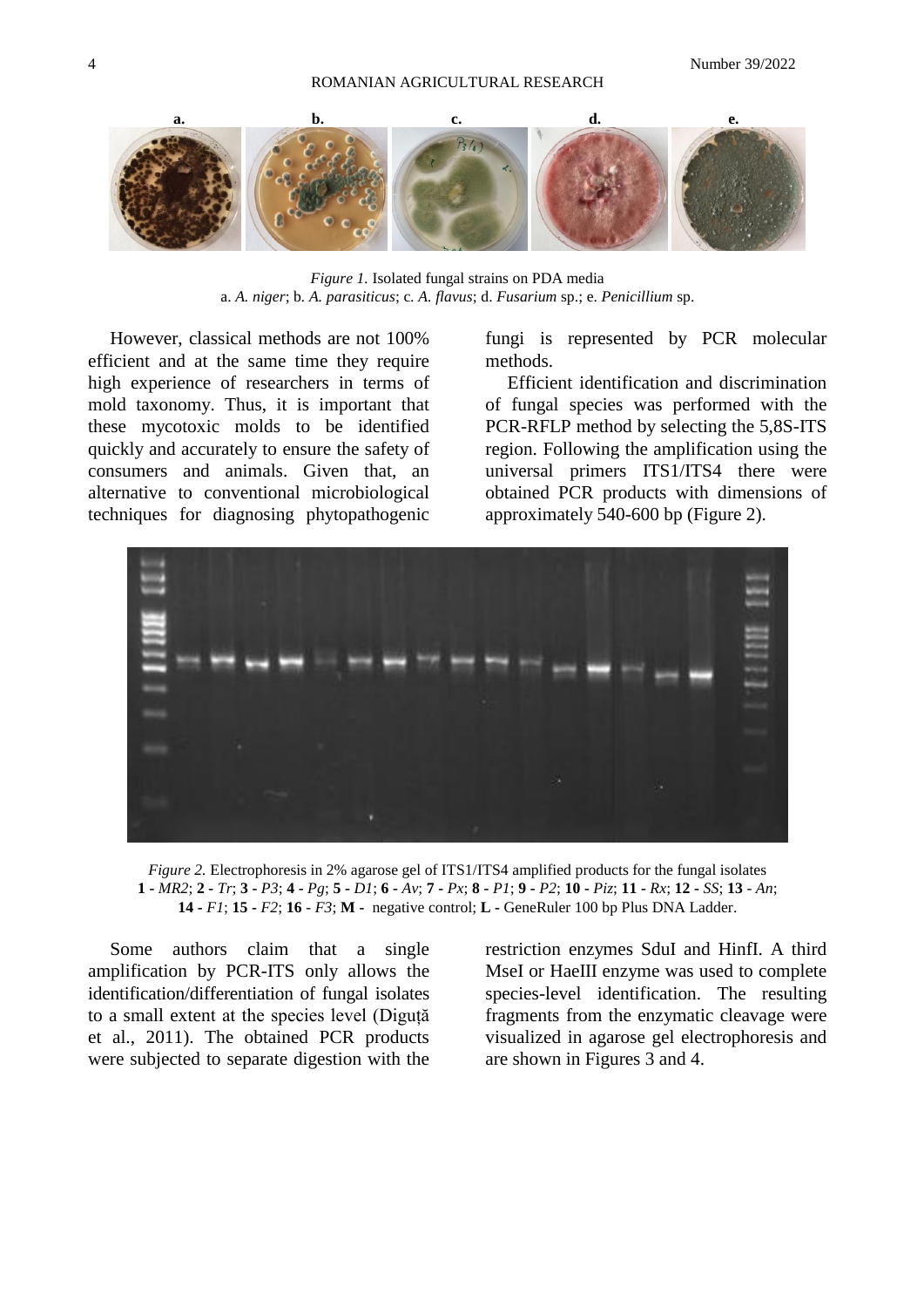

*Figure 1.* Isolated fungal strains on PDA media a. *A. niger*; b*. A. parasiticus*; c*. A. flavus*; d. *Fusarium* sp.; e. *Penicillium* sp.

However, classical methods are not 100% efficient and at the same time they require high experience of researchers in terms of mold taxonomy. Thus, it is important that these mycotoxic molds to be identified quickly and accurately to ensure the safety of consumers and animals. Given that, an alternative to conventional microbiological techniques for diagnosing phytopathogenic fungi is represented by PCR molecular methods.

Efficient identification and discrimination of fungal species was performed with the PCR-RFLP method by selecting the 5,8S-ITS region. Following the amplification using the universal primers ITS1/ITS4 there were obtained PCR products with dimensions of approximately 540-600 bp (Figure 2).



*Figure 2.* Electrophoresis in 2% agarose gel of ITS1/ITS4 amplified products for the fungal isolates 1 - MR2; 2 - Tr; 3 - P3; 4 - Pg; 5 - D1; 6 - Av; 7 - Px; 8 - P1; 9 - P2; 10 - Piz; 11 - Rx; 12 - SS; 13 - An; **14 -** *F1*; **15 -** *F2*; **16** *- F3*; **M -** negative control; **L -** GeneRuler 100 bp Plus DNA Ladder.

Some authors claim that a single amplification by PCR-ITS only allows the identification/differentiation of fungal isolates to a small extent at the species level (Diguță et al., 2011). The obtained PCR products were subjected to separate digestion with the

restriction enzymes SduI and HinfI. A third MseI or HaeIII enzyme was used to complete species-level identification. The resulting fragments from the enzymatic cleavage were visualized in agarose gel electrophoresis and are shown in Figures 3 and 4.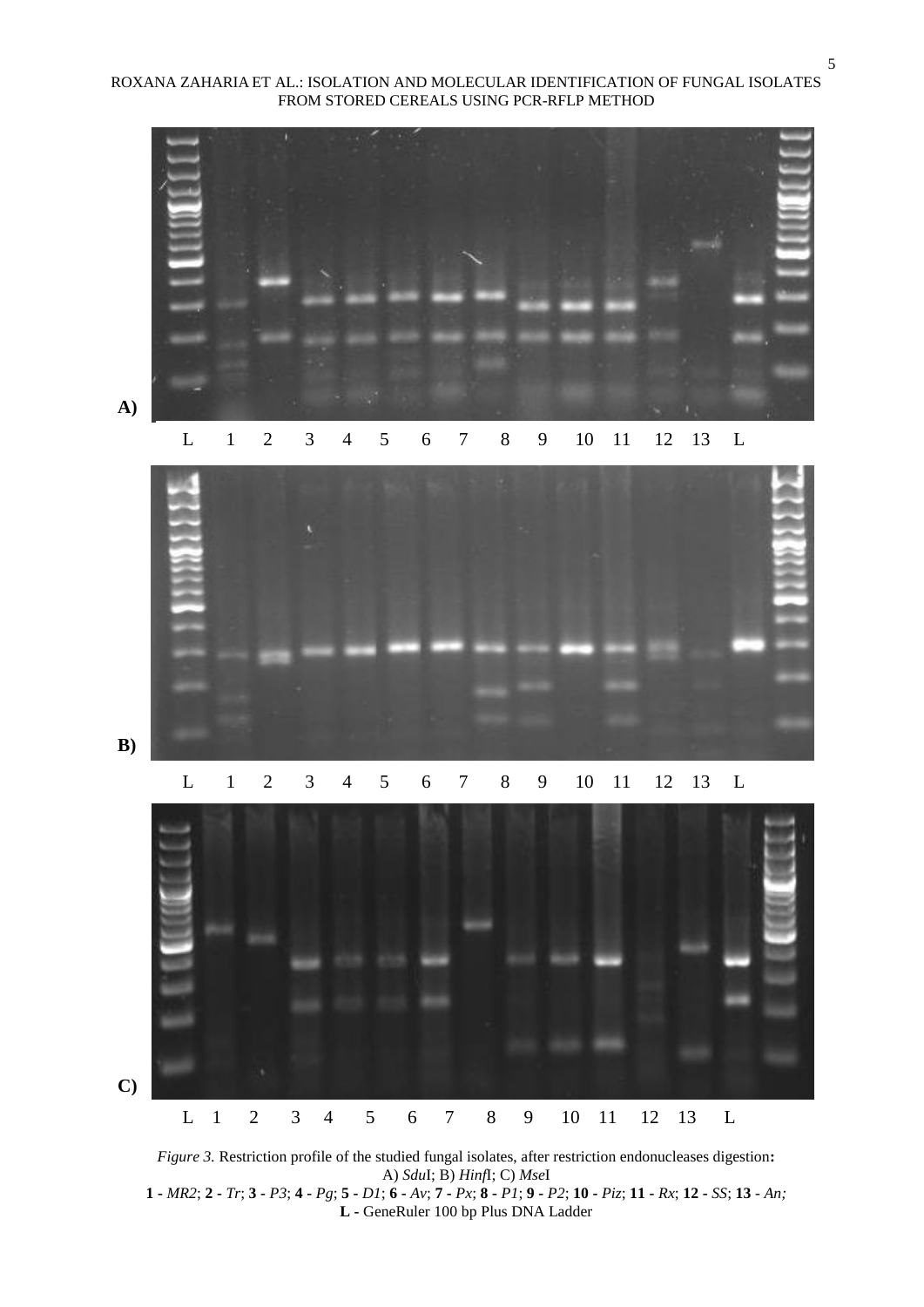



**A)**



**B)**



*Figure 3.* Restriction profile of the studied fungal isolates, after restriction endonucleases digestion**:** A) *Sdu*I; B) *Hinf*I; C) *Mse*I  $1 - MR2; 2 - Tr; 3 - P3; 4 - Pg; 5 - DI; 6 - Av; 7 - Px; 8 - P1; 9 - P2; 10 - Piz; 11 - Rx; 12 - SS; 13 - An; 14 - RS; 16 - Y3; 17 - Y4; 18 - Y5; 19 - Y6; 19 - P1; 19 - P2; 10 - P1; 10 - R1; 11 - RX; 12 - SS; 13 - An; 14 - R1; 15 - S1; 16 - R2; 17 - R2; 18 - Y7; 19 - P2; 19 - P1; 19 - R2; 19 - R3; 19$ **L -** GeneRuler 100 bp Plus DNA Ladder

5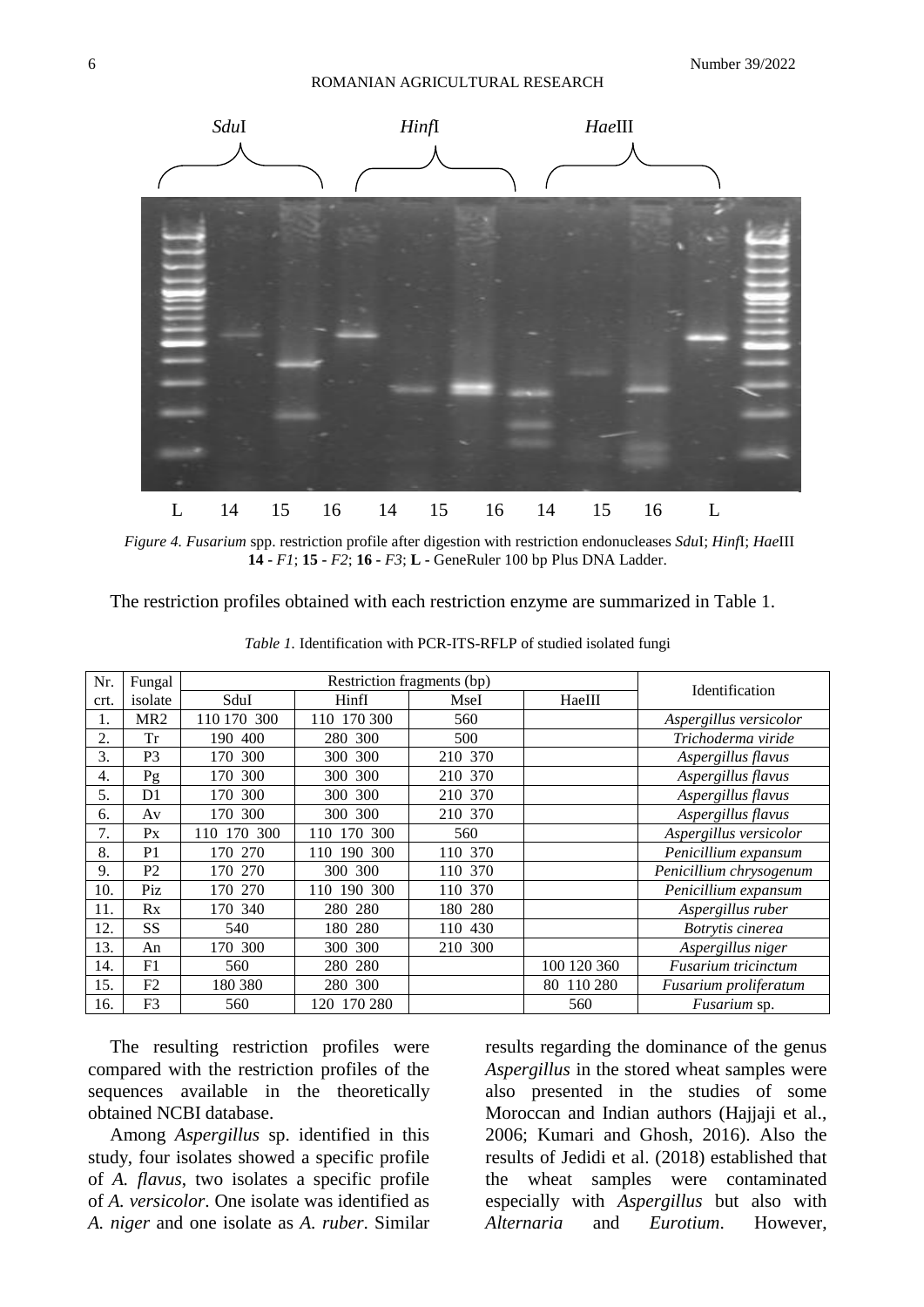

*Figure 4. Fusarium* spp. restriction profile after digestion with restriction endonucleases *Sdu*I; *Hinf*I; *Hae*III **14 -** *F1*; **15 -** *F2*; **16 -** *F3*; **L -** GeneRuler 100 bp Plus DNA Ladder.

The restriction profiles obtained with each restriction enzyme are summarized in Table 1.

| Nr.  | Fungal          | Restriction fragments (bp) |                |         |             |                            |  |
|------|-----------------|----------------------------|----------------|---------|-------------|----------------------------|--|
| crt. | isolate         | SduI                       | HinfI          | MseI    | HaeIII      | Identification             |  |
| 1.   | MR <sub>2</sub> | 110 170 300                | 110 170 300    | 560     |             | Aspergillus versicolor     |  |
| 2.   | Tr              | 190 400                    | 280 300        | 500     |             | Trichoderma viride         |  |
| 3.   | P <sub>3</sub>  | 170 300                    | 300 300        | 210 370 |             | Aspergillus flavus         |  |
| 4.   | Pg              | 170 300                    | 300 300        | 210 370 |             | Aspergillus flavus         |  |
| 5.   | D <sub>1</sub>  | 170 300                    | 300 300        | 210 370 |             | Aspergillus flavus         |  |
| 6.   | Av              | 170 300                    | 300 300        | 210 370 |             | Aspergillus flavus         |  |
| 7.   | $P_{X}$         | 170 300<br>110             | 300<br>110 170 | 560     |             | Aspergillus versicolor     |  |
| 8.   | P <sub>1</sub>  | 170 270                    | 110 190 300    | 110 370 |             | Penicillium expansum       |  |
| 9.   | P <sub>2</sub>  | 170 270                    | 300 300        | 110 370 |             | Penicillium chrysogenum    |  |
| 10.  | Piz             | 170 270                    | 110 190 300    | 110 370 |             | Penicillium expansum       |  |
| 11.  | Rx              | 170 340                    | 280 280        | 180 280 |             | Aspergillus ruber          |  |
| 12.  | <b>SS</b>       | 540                        | 180 280        | 110 430 |             | Botrytis cinerea           |  |
| 13.  | An              | 170 300                    | 300 300        | 210 300 |             | Aspergillus niger          |  |
| 14.  | F1              | 560                        | 280 280        |         | 100 120 360 | <b>Fusarium</b> tricinctum |  |
| 15.  | F2              | 180 380                    | 280 300        |         | 80 110 280  | Fusarium proliferatum      |  |
| 16.  | F <sub>3</sub>  | 560                        | 120 170 280    |         | 560         | Fusarium sp.               |  |

*Table 1.* Identification with PCR-ITS-RFLP of studied isolated fungi

The resulting restriction profiles were compared with the restriction profiles of the sequences available in the theoretically obtained NCBI database.

Among *Aspergillus* sp. identified in this study, four isolates showed a specific profile of *A. flavus*, two isolates a specific profile of *A. versicolor*. One isolate was identified as *A. niger* and one isolate as *A. ruber*. Similar results regarding the dominance of the genus *Aspergillus* in the stored wheat samples were also presented in the studies of some Moroccan and Indian authors (Hajjaji et al., 2006; Kumari and Ghosh, 2016). Also the results of Jedidi et al. (2018) established that the wheat samples were contaminated especially with *Aspergillus* but also with *Alternaria* and *Eurotium*. However,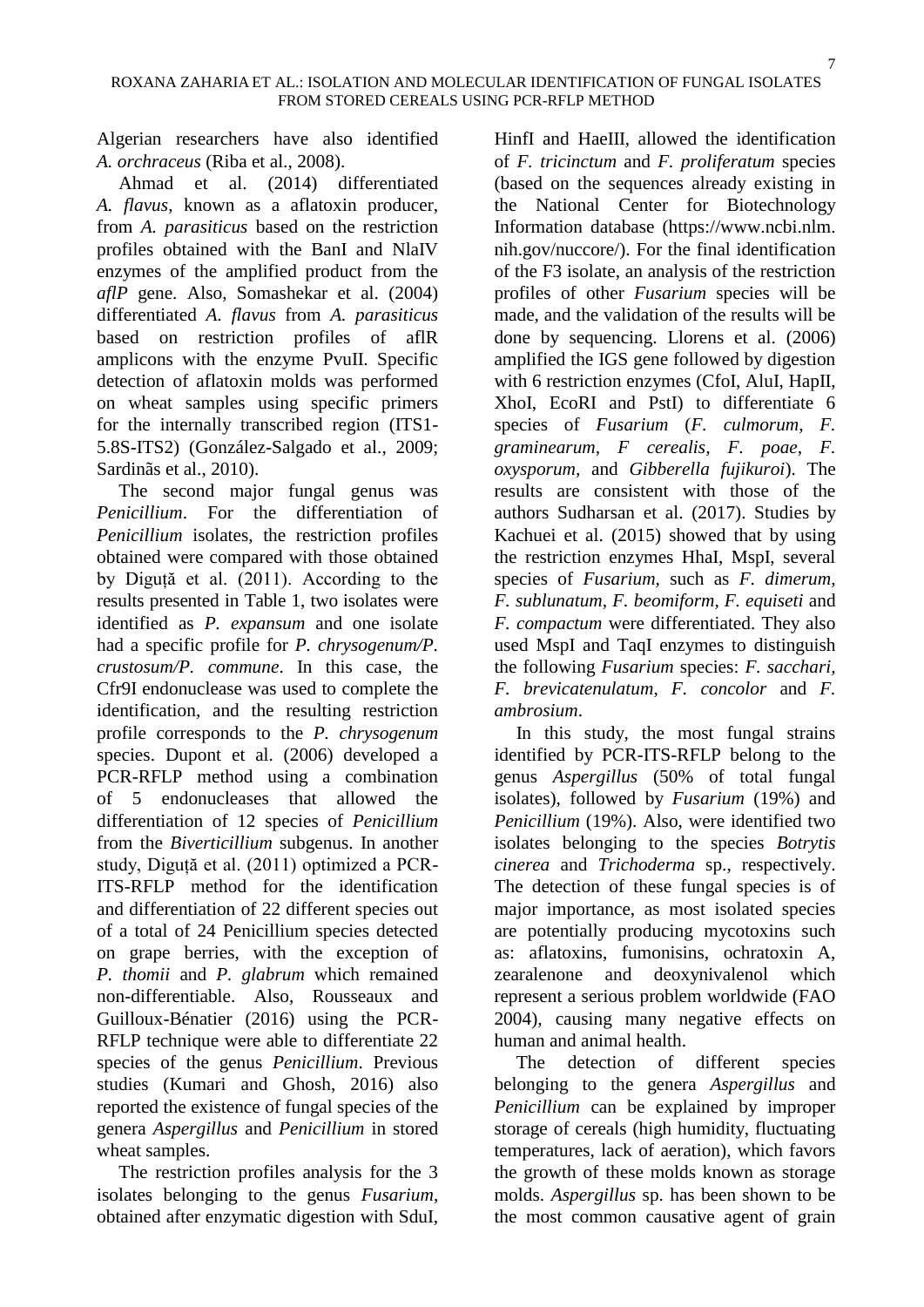Algerian researchers have also identified *A. orchraceus* (Riba et al., 2008).

Ahmad et al. (2014) differentiated *A. flavus*, known as a aflatoxin producer, from *A. parasiticus* based on the restriction profiles obtained with the BanI and NlaIV enzymes of the amplified product from the *aflP* gene. Also, Somashekar et al. (2004) differentiated *A. flavus* from *A. parasiticus* based on restriction profiles of aflR amplicons with the enzyme PvuII. Specific detection of aflatoxin molds was performed on wheat samples using specific primers for the internally transcribed region (ITS1- 5.8S-ITS2) (González-Salgado et al., 2009; Sardinãs et al., 2010).

The second major fungal genus was *Penicillium*. For the differentiation of *Penicillium* isolates, the restriction profiles obtained were compared with those obtained by Diguță et al. (2011). According to the results presented in Table 1, two isolates were identified as *P. expansum* and one isolate had a specific profile for *P. chrysogenum/P. crustosum/P. commune*. In this case, the Cfr9I endonuclease was used to complete the identification, and the resulting restriction profile corresponds to the *P. chrysogenum* species. Dupont et al. (2006) developed a PCR-RFLP method using a combination of 5 endonucleases that allowed the differentiation of 12 species of *Penicillium* from the *Biverticillium* subgenus. In another study, Diguță et al. (2011) optimized a PCR-ITS-RFLP method for the identification and differentiation of 22 different species out of a total of 24 Penicillium species detected on grape berries, with the exception of *P. thomii* and *P. glabrum* which remained non-differentiable. Also, Rousseaux and Guilloux-Bénatier (2016) using the PCR-RFLP technique were able to differentiate 22 species of the genus *Penicillium*. Previous studies (Kumari and Ghosh, 2016) also reported the existence of fungal species of the genera *Aspergillus* and *Penicillium* in stored wheat samples.

The restriction profiles analysis for the 3 isolates belonging to the genus *Fusarium*, obtained after enzymatic digestion with SduI,

HinfI and HaeIII, allowed the identification of *F. tricinctum* and *F. proliferatum* species (based on the sequences already existing in the National Center for Biotechnology Information database [\(https://www.ncbi.nlm.](https://www.ncbi.nlm/) nih.gov/nuccore/). For the final identification of the F3 isolate, an analysis of the restriction profiles of other *Fusarium* species will be made, and the validation of the results will be done by sequencing. Llorens et al. (2006) amplified the IGS gene followed by digestion with 6 restriction enzymes (CfoI, AluI, HapII, XhoI, EcoRI and PstI) to differentiate 6 species of *Fusarium* (*F. culmorum, F. graminearum, F cerealis, F. poae, F. oxysporum,* and *Gibberella fujikuroi*). The results are consistent with those of the authors Sudharsan et al. (2017). Studies by Kachuei et al. (2015) showed that by using the restriction enzymes HhaI, MspI, several species of *Fusarium,* such as *F. dimerum, F. sublunatum, F. beomiform, F. equiseti* and *F. compactum* were differentiated. They also used MspI and TaqI enzymes to distinguish the following *Fusarium* species: *F. sacchari, F. brevicatenulatum, F. concolor* and *F. ambrosium*.

7

In this study, the most fungal strains identified by PCR-ITS-RFLP belong to the genus *Aspergillus* (50% of total fungal isolates), followed by *Fusarium* (19%) and *Penicillium* (19%). Also, were identified two isolates belonging to the species *Botrytis cinerea* and *Trichoderma* sp., respectively. The detection of these fungal species is of major importance, as most isolated species are potentially producing mycotoxins such as: aflatoxins, fumonisins, ochratoxin A, zearalenone and deoxynivalenol which represent a serious problem worldwide (FAO 2004), causing many negative effects on human and animal health.

The detection of different species belonging to the genera *Aspergillus* and *Penicillium* can be explained by improper storage of cereals (high humidity, fluctuating temperatures, lack of aeration), which favors the growth of these molds known as storage molds. *Aspergillus* sp. has been shown to be the most common causative agent of grain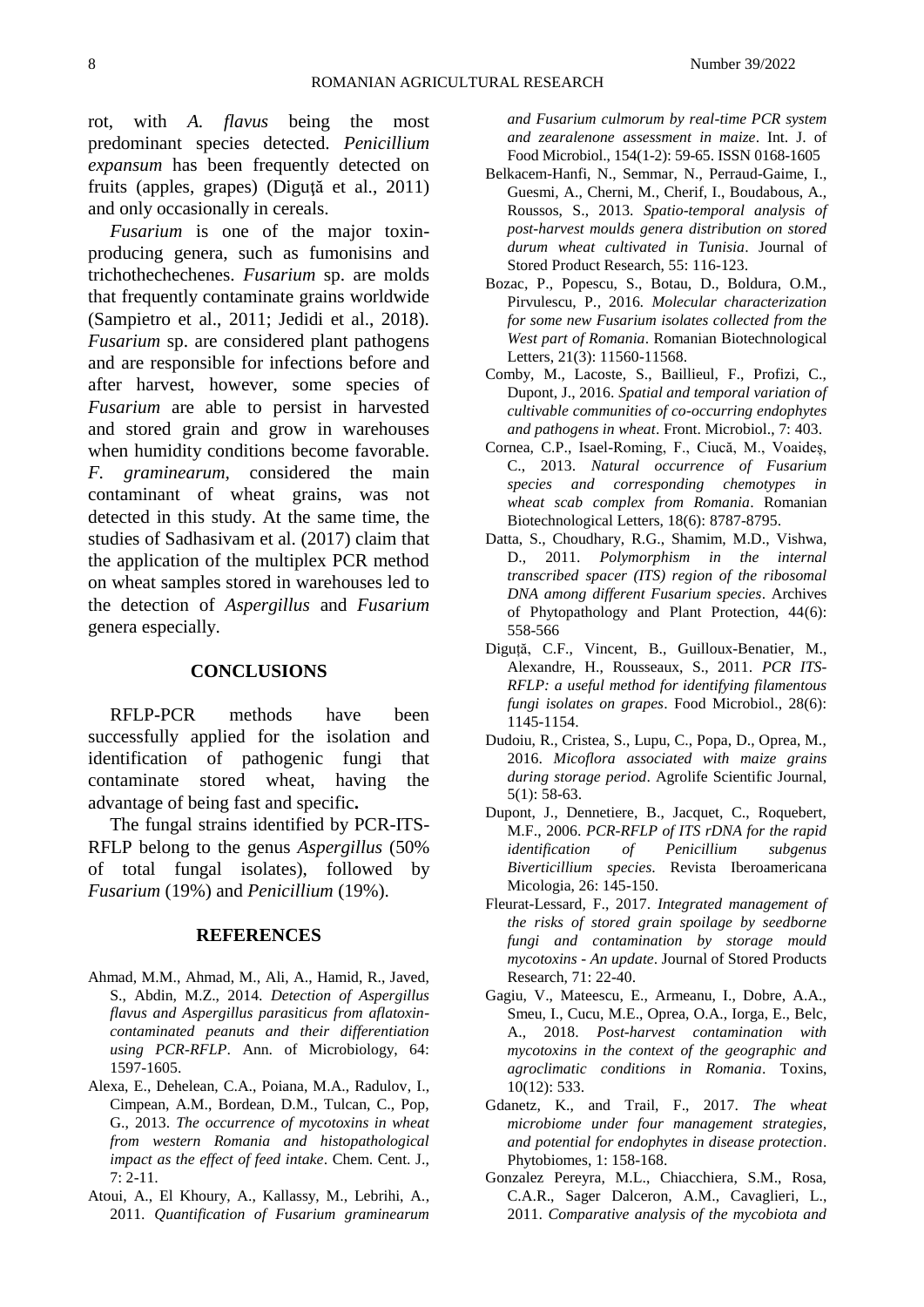8 Number 39/2022

rot, with *A. flavus* being the most predominant species detected. *Penicillium expansum* has been frequently detected on fruits (apples, grapes) (Diguţă et al., 2011) and only occasionally in cereals.

*Fusarium* is one of the major toxinproducing genera, such as fumonisins and trichothechechenes. *Fusarium* sp. are molds that frequently contaminate grains worldwide (Sampietro et al., 2011; Jedidi et al., 2018). *Fusarium* sp. are considered plant pathogens and are responsible for infections before and after harvest, however, some species of *Fusarium* are able to persist in harvested and stored grain and grow in warehouses when humidity conditions become favorable. *F. graminearum,* considered the main contaminant of wheat grains, was not detected in this study. At the same time, the studies of Sadhasivam et al. (2017) claim that the application of the multiplex PCR method on wheat samples stored in warehouses led to the detection of *Aspergillus* and *Fusarium* genera especially.

### **CONCLUSIONS**

RFLP-PCR methods have been successfully applied for the isolation and identification of pathogenic fungi that contaminate stored wheat, having the advantage of being fast and specific**.**

The fungal strains identified by PCR-ITS-RFLP belong to the genus *Aspergillus* (50% of total fungal isolates), followed by *Fusarium* (19%) and *Penicillium* (19%).

#### **REFERENCES**

- Ahmad, M.M., Ahmad, M., Ali, A., Hamid, R., Javed, S., Abdin, M.Z., 2014. *Detection of Aspergillus flavus and Aspergillus parasiticus from aflatoxincontaminated peanuts and their differentiation using PCR-RFLP*. Ann. of Microbiology, 64: 1597-1605.
- Alexa, E., Dehelean, C.A., Poiana, M.A., Radulov, I., Cimpean, A.M., Bordean, D.M., Tulcan, C., Pop, G., 2013. *The occurrence of mycotoxins in wheat from western Romania and histopathological impact as the effect of feed intake*. Chem. Cent. J., 7: 2-11.
- Atoui, A., El Khoury, A., Kallassy, M., Lebrihi, A., 2011. *Quantification of Fusarium graminearum*

*and Fusarium culmorum by real-time PCR system and zearalenone assessment in maize*. Int. J. of Food Microbiol., 154(1-2): 59-65. ISSN 0168-1605

- Belkacem-Hanfi, N., Semmar, N., Perraud-Gaime, I., Guesmi, A., Cherni, M., Cherif, I., Boudabous, A., Roussos, S., 2013. *Spatio-temporal analysis of post-harvest moulds genera distribution on stored durum wheat cultivated in Tunisia*. Journal of Stored Product Research, 55: 116-123.
- Bozac, P., Popescu, S., Botau, D., Boldura, O.M., Pirvulescu, P*.,* 2016*. Molecular characterization for some new Fusarium isolates collected from the West part of Romania*. Romanian Biotechnological Letters, 21(3): 11560-11568.
- Comby, M., Lacoste, S., Baillieul, F., Profizi, C., Dupont, J., 2016. *Spatial and temporal variation of cultivable communities of co-occurring endophytes and pathogens in wheat*. Front. Microbiol., 7: 403.
- Cornea, C.P., Isael-Roming, F., Ciucă, M., Voaideș, C., 2013. *Natural occurrence of Fusarium species and corresponding chemotypes in wheat scab complex from Romania*. Romanian Biotechnological Letters, 18(6): 8787-8795.
- Datta, S., Choudhary, R.G., Shamim, M.D., Vishwa, D., 2011. *Polymorphism in the internal transcribed spacer (ITS) region of the ribosomal DNA among different Fusarium species*. Archives of Phytopathology and Plant Protection, 44(6): 558-566
- Diguță, C.F., Vincent, B., Guilloux-Benatier, M., Alexandre, H., Rousseaux, S., 2011. *PCR ITS-RFLP: a useful method for identifying filamentous fungi isolates on grapes*. Food Microbiol., 28(6): 1145-1154.
- Dudoiu, R., Cristea, S., Lupu, C., Popa, D., Oprea, M., 2016. *Micoflora associated with maize grains during storage period*. Agrolife Scientific Journal, 5(1): 58-63.
- Dupont, J., Dennetiere, B., Jacquet, C., Roquebert, M.F., 2006. *PCR-RFLP of ITS rDNA for the rapid identification of Penicillium subgenus Biverticillium species*. Revista Iberoamericana Micologia, 26: 145-150.
- Fleurat-Lessard, F., 2017. *Integrated management of the risks of stored grain spoilage by seedborne fungi and contamination by storage mould mycotoxins - An update*. Journal of Stored Products Research, 71: 22-40.
- Gagiu, V., Mateescu, E., Armeanu, I., Dobre, A.A., Smeu, I., Cucu, M.E., Oprea, O.A., Iorga, E., Belc, A., 2018. *Post-harvest contamination with mycotoxins in the context of the geographic and agroclimatic conditions in Romania*. Toxins, 10(12): 533.
- Gdanetz, K., and Trail, F., 2017. *The wheat microbiome under four management strategies, and potential for endophytes in disease protection*. Phytobiomes, 1: 158-168.
- Gonzalez Pereyra, M.L., Chiacchiera, S.M., Rosa, C.A.R., Sager Dalceron, A.M., Cavaglieri, L., 2011. *Comparative analysis of the mycobiota and*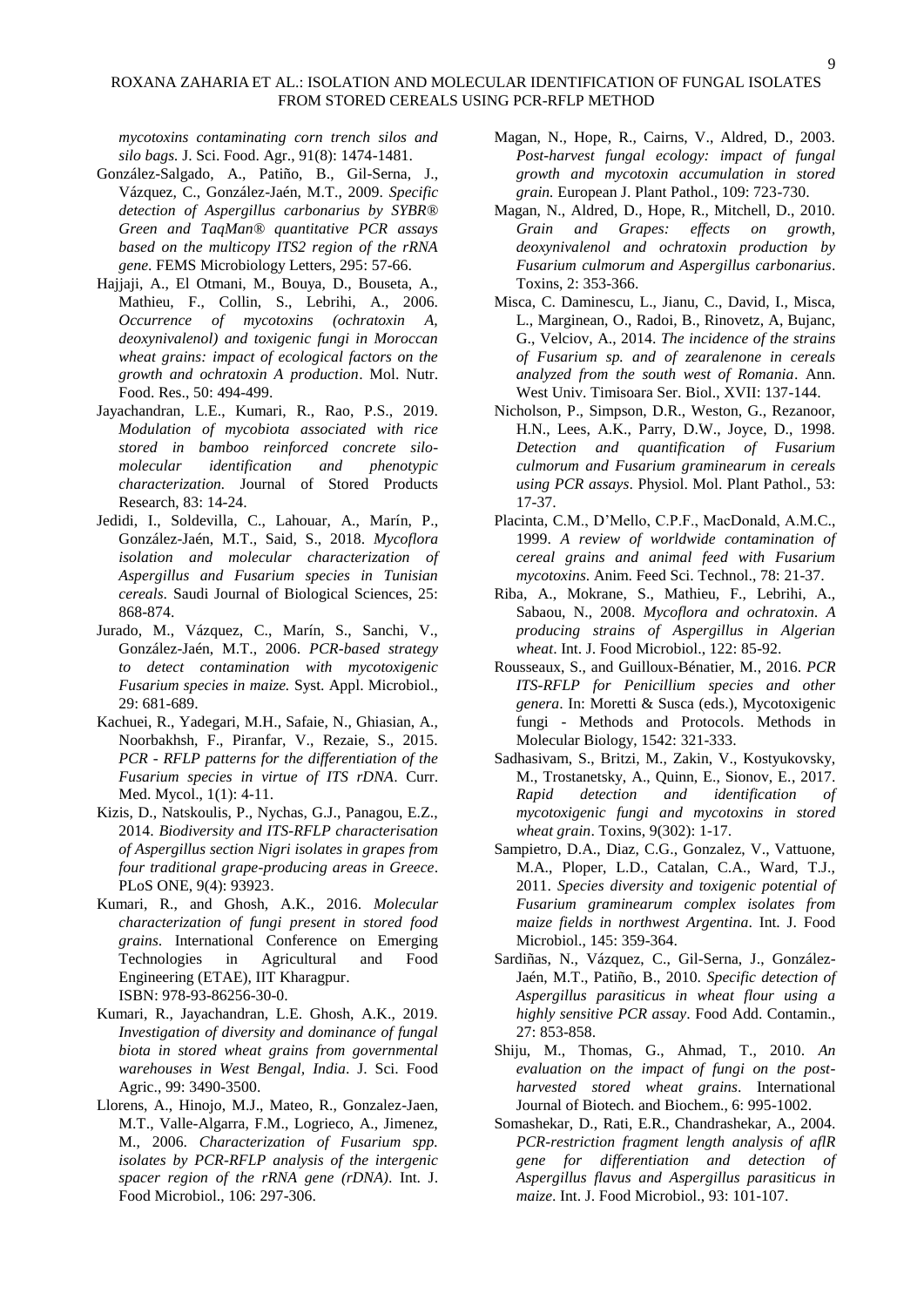#### ROXANA ZAHARIA ET AL.: ISOLATION AND MOLECULAR IDENTIFICATION OF FUNGAL ISOLATES FROM STORED CEREALS USING PCR-RFLP METHOD

*mycotoxins contaminating corn trench silos and silo bags.* J. Sci. Food. Agr., 91(8): 1474-1481.

- González-Salgado, A., Patiño, B., Gil-Serna, J., Vázquez, C., González-Jaén, M.T., 2009. *Specific detection of Aspergillus carbonarius by SYBR® Green and TaqMan® quantitative PCR assays based on the multicopy ITS2 region of the rRNA gene*. FEMS Microbiology Letters, 295: 57-66.
- Hajjaji, A., El Otmani, M., Bouya, D., Bouseta, A., Mathieu, F., Collin, S., Lebrihi, A., 2006. *Occurrence of mycotoxins (ochratoxin A, deoxynivalenol) and toxigenic fungi in Moroccan wheat grains: impact of ecological factors on the growth and ochratoxin A production*. Mol. Nutr. Food. Res., 50: 494-499.
- Jayachandran, L.E., Kumari, R., Rao, P.S., 2019. *Modulation of mycobiota associated with rice stored in bamboo reinforced concrete silomolecular identification and phenotypic characterization.* Journal of Stored Products Research, 83: 14-24.
- Jedidi, I., Soldevilla, C., Lahouar, A., Marín, P., González-Jaén, M.T., Said, S., 2018. *Mycoflora isolation and molecular characterization of Aspergillus and Fusarium species in Tunisian cereals*. Saudi Journal of Biological Sciences, 25: 868-874.
- Jurado, M., Vázquez, C., Marín, S., Sanchi, V., González-Jaén, M.T., 2006. *PCR-based strategy to detect contamination with mycotoxigenic Fusarium species in maize.* Syst. Appl. Microbiol., 29: 681-689.
- Kachuei, R., Yadegari, M.H., Safaie, N., Ghiasian, A., Noorbakhsh, F., Piranfar, V., Rezaie, S., 2015. *PCR - RFLP patterns for the differentiation of the Fusarium species in virtue of ITS rDNA*. Curr. Med. Mycol., 1(1): 4-11.
- Kizis, D., Natskoulis, P., Nychas, G.J., Panagou, E.Z., 2014. *Biodiversity and ITS-RFLP characterisation of Aspergillus section Nigri isolates in grapes from four traditional grape-producing areas in Greece*. PLoS ONE, 9(4): 93923.
- Kumari, R., and Ghosh, A.K., 2016. *Molecular characterization of fungi present in stored food grains*. International Conference on Emerging Technologies in Agricultural and Food Engineering (ETAE), IIT Kharagpur. ISBN: 978-93-86256-30-0.
- Kumari, R., Jayachandran, L.E. Ghosh, A.K., 2019. *Investigation of diversity and dominance of fungal biota in stored wheat grains from governmental warehouses in West Bengal, India*. J. Sci. Food Agric., 99: 3490-3500.
- Llorens, A., Hinojo, M.J., Mateo, R., Gonzalez-Jaen, M.T., Valle-Algarra, F.M., Logrieco, A., Jimenez, M., 2006. *Characterization of Fusarium spp. isolates by PCR-RFLP analysis of the intergenic spacer region of the rRNA gene (rDNA)*. Int. J. Food Microbiol., 106: 297-306.
- Magan, N., Hope, R., Cairns, V., Aldred, D., 2003. *Post-harvest fungal ecology: impact of fungal growth and mycotoxin accumulation in stored grain.* European J. Plant Pathol., 109: 723-730.
- Magan, N., Aldred, D., Hope, R., Mitchell, D., 2010. *Grain and Grapes: effects on growth, deoxynivalenol and ochratoxin production by Fusarium culmorum and Aspergillus carbonarius*. Toxins, 2: 353-366.
- Misca, C. Daminescu, L., Jianu, C., David, I., Misca, L., Marginean, O., Radoi, B., Rinovetz, A, Bujanc, G., Velciov, A., 2014. *The incidence of the strains of Fusarium sp. and of zearalenone in cereals analyzed from the south west of Romania*. Ann. West Univ. Timisoara Ser. Biol., XVII: 137-144.
- Nicholson, P., Simpson, D.R., Weston, G., Rezanoor, H.N., Lees, A.K., Parry, D.W., Joyce, D., 1998. *Detection and quantification of Fusarium culmorum and Fusarium graminearum in cereals using PCR assays*. Physiol. Mol. Plant Pathol., 53: 17-37.
- Placinta, C.M., D'Mello, C.P.F., MacDonald, A.M.C., 1999. *A review of worldwide contamination of cereal grains and animal feed with Fusarium mycotoxins*. Anim. Feed Sci. Technol., 78: 21-37.
- Riba, A., Mokrane, S., Mathieu, F., Lebrihi, A., Sabaou, N., 2008. *Mycoflora and ochratoxin. A producing strains of Aspergillus in Algerian wheat*. Int. J. Food Microbiol., 122: 85-92.
- Rousseaux, S., and Guilloux-Bénatier, M., 2016. *PCR ITS-RFLP for Penicillium species and other genera*. In: Moretti & Susca (eds.), Mycotoxigenic fungi - Methods and Protocols. Methods in Molecular Biology, 1542: 321-333.
- Sadhasivam, S., Britzi, M., Zakin, V., Kostyukovsky, M., Trostanetsky, A., Quinn, E., Sionov, E., 2017. *Rapid detection and identification of mycotoxigenic fungi and mycotoxins in stored wheat grain*. Toxins, 9(302): 1-17.
- Sampietro, D.A., Diaz, C.G., Gonzalez, V., Vattuone, M.A., Ploper, L.D., Catalan, C.A., Ward, T.J., 2011. *Species diversity and toxigenic potential of Fusarium graminearum complex isolates from maize fields in northwest Argentina*. Int. J. Food Microbiol., 145: 359-364.
- Sardiñas, N., Vázquez, C., Gil-Serna, J., González-Jaén, M.T., Patiño, B., 2010. *Specific detection of Aspergillus parasiticus in wheat flour using a highly sensitive PCR assay*. Food Add. Contamin., 27: 853-858.
- Shiju, M., Thomas, G., Ahmad, T., 2010. *An evaluation on the impact of fungi on the postharvested stored wheat grains*. International Journal of Biotech. and Biochem., 6: 995-1002.
- Somashekar, D., Rati, E.R., Chandrashekar, A., 2004. *PCR-restriction fragment length analysis of aflR gene for differentiation and detection of Aspergillus flavus and Aspergillus parasiticus in maize*. Int. J. Food Microbiol., 93: 101-107.